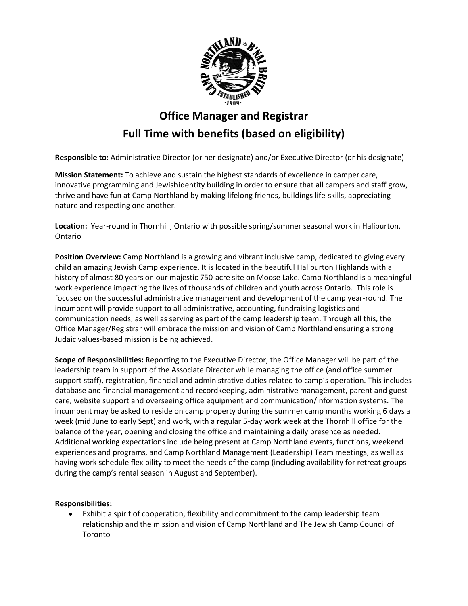

# **Office Manager and Registrar Full Time with benefits (based on eligibility)**

**Responsible to:** Administrative Director (or her designate) and/or Executive Director (or his designate)

**Mission Statement:** To achieve and sustain the highest standards of excellence in camper care, innovative programming and Jewishidentity building in order to ensure that all campers and staff grow, thrive and have fun at Camp Northland by making lifelong friends, buildings life-skills, appreciating nature and respecting one another.

**Location:** Year-round in Thornhill, Ontario with possible spring/summer seasonal work in Haliburton, Ontario

**Position Overview:** Camp Northland is a growing and vibrant inclusive camp, dedicated to giving every child an amazing Jewish Camp experience. It is located in the beautiful Haliburton Highlands with a history of almost 80 years on our majestic 750-acre site on Moose Lake. Camp Northland is a meaningful work experience impacting the lives of thousands of children and youth across Ontario. This role is focused on the successful administrative management and development of the camp year-round. The incumbent will provide support to all administrative, accounting, fundraising logistics and communication needs, as well as serving as part of the camp leadership team. Through all this, the Office Manager/Registrar will embrace the mission and vision of Camp Northland ensuring a strong Judaic values-based mission is being achieved.

**Scope of Responsibilities:** Reporting to the Executive Director, the Office Manager will be part of the leadership team in support of the Associate Director while managing the office (and office summer support staff), registration, financial and administrative duties related to camp's operation. This includes database and financial management and recordkeeping, administrative management, parent and guest care, website support and overseeing office equipment and communication/information systems. The incumbent may be asked to reside on camp property during the summer camp months working 6 days a week (mid June to early Sept) and work, with a regular 5-day work week at the Thornhill office for the balance of the year, opening and closing the office and maintaining a daily presence as needed. Additional working expectations include being present at Camp Northland events, functions, weekend experiences and programs, and Camp Northland Management (Leadership) Team meetings, as well as having work schedule flexibility to meet the needs of the camp (including availability for retreat groups during the camp's rental season in August and September).

## **Responsibilities:**

• Exhibit a spirit of cooperation, flexibility and commitment to the camp leadership team relationship and the mission and vision of Camp Northland and The Jewish Camp Council of Toronto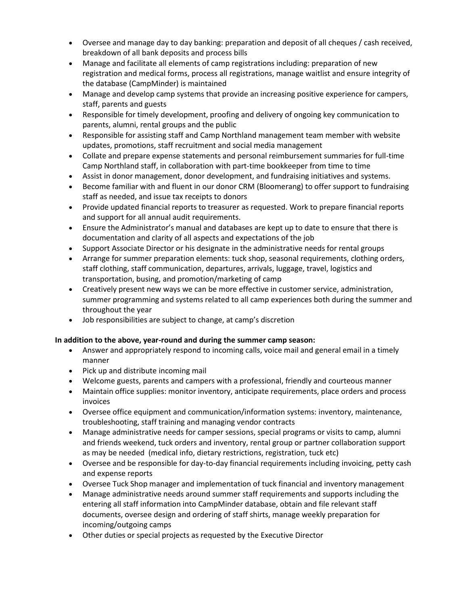- Oversee and manage day to day banking: preparation and deposit of all cheques / cash received, breakdown of all bank deposits and process bills
- Manage and facilitate all elements of camp registrations including: preparation of new registration and medical forms, process all registrations, manage waitlist and ensure integrity of the database (CampMinder) is maintained
- Manage and develop camp systems that provide an increasing positive experience for campers, staff, parents and guests
- Responsible for timely development, proofing and delivery of ongoing key communication to parents, alumni, rental groups and the public
- Responsible for assisting staff and Camp Northland management team member with website updates, promotions, staff recruitment and social media management
- Collate and prepare expense statements and personal reimbursement summaries for full-time Camp Northland staff, in collaboration with part-time bookkeeper from time to time
- Assist in donor management, donor development, and fundraising initiatives and systems.
- Become familiar with and fluent in our donor CRM (Bloomerang) to offer support to fundraising staff as needed, and issue tax receipts to donors
- Provide updated financial reports to treasurer as requested. Work to prepare financial reports and support for all annual audit requirements.
- Ensure the Administrator's manual and databases are kept up to date to ensure that there is documentation and clarity of all aspects and expectations of the job
- Support Associate Director or his designate in the administrative needs for rental groups
- Arrange for summer preparation elements: tuck shop, seasonal requirements, clothing orders, staff clothing, staff communication, departures, arrivals, luggage, travel, logistics and transportation, busing, and promotion/marketing of camp
- Creatively present new ways we can be more effective in customer service, administration, summer programming and systems related to all camp experiences both during the summer and throughout the year
- Job responsibilities are subject to change, at camp's discretion

## **In addition to the above, year-round and during the summer camp season:**

- Answer and appropriately respond to incoming calls, voice mail and general email in a timely manner
- Pick up and distribute incoming mail
- Welcome guests, parents and campers with a professional, friendly and courteous manner
- Maintain office supplies: monitor inventory, anticipate requirements, place orders and process invoices
- Oversee office equipment and communication/information systems: inventory, maintenance, troubleshooting, staff training and managing vendor contracts
- Manage administrative needs for camper sessions, special programs or visits to camp, alumni and friends weekend, tuck orders and inventory, rental group or partner collaboration support as may be needed (medical info, dietary restrictions, registration, tuck etc)
- Oversee and be responsible for day-to-day financial requirements including invoicing, petty cash and expense reports
- Oversee Tuck Shop manager and implementation of tuck financial and inventory management
- Manage administrative needs around summer staff requirements and supports including the entering all staff information into CampMinder database, obtain and file relevant staff documents, oversee design and ordering of staff shirts, manage weekly preparation for incoming/outgoing camps
- Other duties or special projects as requested by the Executive Director